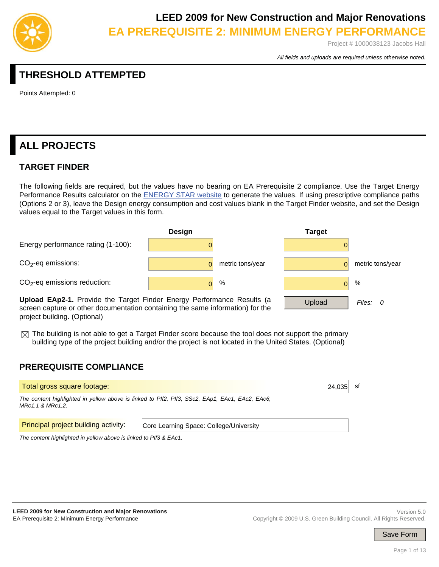

Project # 1000038123 Jacobs Hall

*All fields and uploads are required unless otherwise noted.*

## **THRESHOLD ATTEMPTED**

Points Attempted: 0

# **ALL PROJECTS**

## **TARGET FINDER**

The following fields are required, but the values have no bearing on EA Prerequisite 2 compliance. Use the Target Energy Performance Results calculator on the **ENERGY STAR website** to generate the values. If using prescriptive compliance paths (Options 2 or 3), leave the Design energy consumption and cost values blank in the Target Finder website, and set the Design values equal to the Target values in this form.



**Upload EAp2-1.** Provide the Target Finder Energy Performance Results (a screen capture or other documentation containing the same information) for the project building. (Optional)

 $\boxtimes$  The building is not able to get a Target Finder score because the tool does not support the primary building type of the project building and/or the project is not located in the United States. (Optional)

### **PREREQUISITE COMPLIANCE**

| Total gross square footage:                 | 24.035                                                                                         |  |  |
|---------------------------------------------|------------------------------------------------------------------------------------------------|--|--|
| MRc1.1 & MRc1.2.                            | The content highlighted in yellow above is linked to PIf2, PIf3, SSc2, EAp1, EAc1, EAc2, EAc6, |  |  |
| <b>Principal project building activity:</b> | Core Learning Space: College/University                                                        |  |  |

*The content highlighted in yellow above is linked to PIf3 & EAc1.*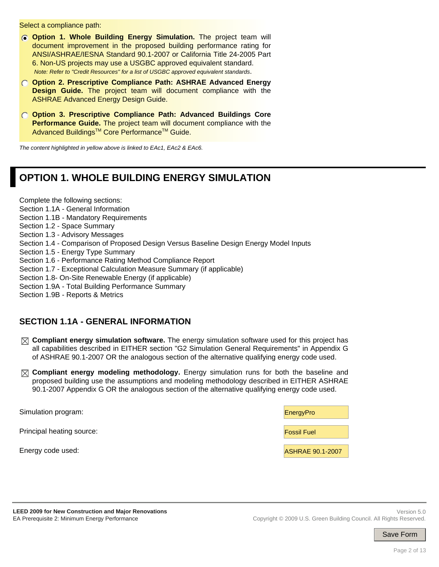Select a compliance path:

- **Option 1. Whole Building Energy Simulation.** The project team will document improvement in the proposed building performance rating for ANSI/ASHRAE/IESNA Standard 90.1-2007 or California Title 24-2005 Part 6. Non-US projects may use a USGBC approved equivalent standard. *Note: Refer to "Credit Resources" for a list of USGBC approved equivalent standards*.
- **Option 2. Prescriptive Compliance Path: ASHRAE Advanced Energy Design Guide.** The project team will document compliance with the ASHRAE Advanced Energy Design Guide.
- **Option 3. Prescriptive Compliance Path: Advanced Buildings Core Performance Guide.** The project team will document compliance with the Advanced Buildings™ Core Performance™ Guide.

*The content highlighted in yellow above is linked to EAc1, EAc2 & EAc6.*

## **OPTION 1. WHOLE BUILDING ENERGY SIMULATION**

Complete the following sections:

- Section 1.1A General Information
- Section 1.1B Mandatory Requirements

Section 1.2 - Space Summary

- Section 1.3 Advisory Messages
- Section 1.4 Comparison of Proposed Design Versus Baseline Design Energy Model Inputs
- Section 1.5 Energy Type Summary

Section 1.6 - Performance Rating Method Compliance Report

- Section 1.7 Exceptional Calculation Measure Summary (if applicable)
- Section 1.8- On-Site Renewable Energy (if applicable)
- Section 1.9A Total Building Performance Summary

Section 1.9B - Reports & Metrics

### **SECTION 1.1A - GENERAL INFORMATION**

- **Compliant energy simulation software.** The energy simulation software used for this project has all capabilities described in EITHER section "G2 Simulation General Requirements" in Appendix G of ASHRAE 90.1-2007 OR the analogous section of the alternative qualifying energy code used.
- **Compliant energy modeling methodology.** Energy simulation runs for both the baseline and proposed building use the assumptions and modeling methodology described in EITHER ASHRAE 90.1-2007 Appendix G OR the analogous section of the alternative qualifying energy code used.

| Simulation program:       | EnergyPro               |
|---------------------------|-------------------------|
| Principal heating source: | <b>Fossil Fuel</b>      |
| Energy code used:         | <b>ASHRAE 90.1-2007</b> |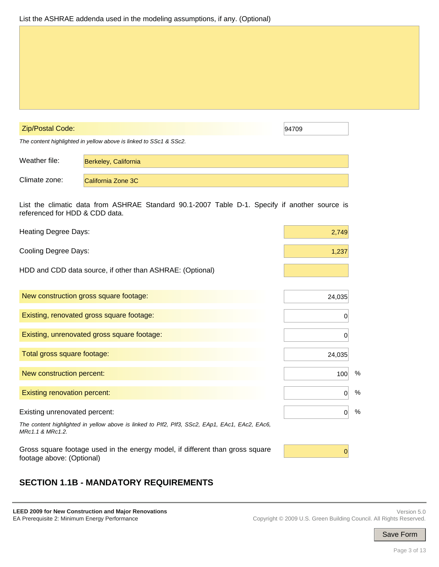#### Zip/Postal Code: 94709

*The content highlighted in yellow above is linked to SSc1 & SSc2.*

| Weather file: | Berkeley, California |
|---------------|----------------------|
| Climate zone: | California Zone 3C   |

List the climatic data from ASHRAE Standard 90.1-2007 Table D-1. Specify if another source is referenced for HDD & CDD data.

| <b>Heating Degree Days:</b>                                                                                                     | 2,749               |
|---------------------------------------------------------------------------------------------------------------------------------|---------------------|
| <b>Cooling Degree Days:</b>                                                                                                     | 1,237               |
| HDD and CDD data source, if other than ASHRAE: (Optional)                                                                       |                     |
| New construction gross square footage:                                                                                          | 24,035              |
| Existing, renovated gross square footage:                                                                                       | O                   |
| Existing, unrenovated gross square footage:                                                                                     | O                   |
| Total gross square footage:                                                                                                     | 24,035              |
| New construction percent:                                                                                                       | $\%$<br>100         |
| <b>Existing renovation percent:</b>                                                                                             | %<br>$\overline{0}$ |
| Existing unrenovated percent:<br>The content highlighted in yellow above is linked to PIf2, PIf3, SSc2, EAp1, EAc1, EAc2, EAc6, | %<br>$\overline{0}$ |
| MRc1.1 & MRc1.2.<br>Gross square footage used in the energy model, if different than gross square<br>footage above: (Optional)  | 0                   |

## **SECTION 1.1B - MANDATORY REQUIREMENTS**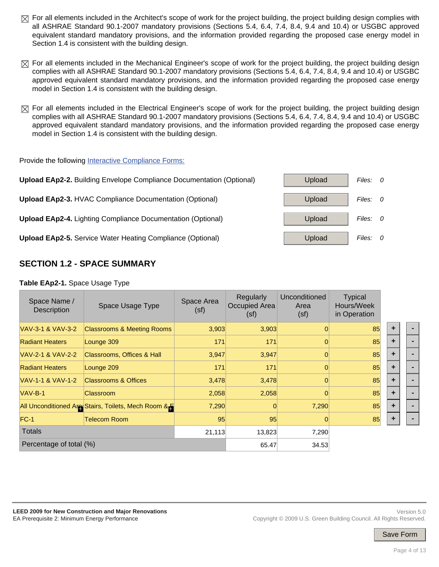- $\boxtimes$  For all elements included in the Architect's scope of work for the project building, the project building design complies with all ASHRAE Standard 90.1-2007 mandatory provisions (Sections 5.4, 6.4, 7.4, 8.4, 9.4 and 10.4) or USGBC approved equivalent standard mandatory provisions, and the information provided regarding the proposed case energy model in Section 1.4 is consistent with the building design.
- $\boxtimes$  For all elements included in the Mechanical Engineer's scope of work for the project building, the project building design complies with all ASHRAE Standard 90.1-2007 mandatory provisions (Sections 5.4, 6.4, 7.4, 8.4, 9.4 and 10.4) or USGBC approved equivalent standard mandatory provisions, and the information provided regarding the proposed case energy model in Section 1.4 is consistent with the building design.
- $\boxtimes$  For all elements included in the Electrical Engineer's scope of work for the project building, the project building design complies with all ASHRAE Standard 90.1-2007 mandatory provisions (Sections 5.4, 6.4, 7.4, 8.4, 9.4 and 10.4) or USGBC approved equivalent standard mandatory provisions, and the information provided regarding the proposed case energy model in Section 1.4 is consistent with the building design.

#### Provide the following Interactive Compliance Forms:



### **SECTION 1.2 - SPACE SUMMARY**

#### **Table EAp2-1.** Space Usage Type

| Space Name /<br><b>Description</b> | Space Usage Type                                   | Space Area<br>(sf) | Regularly<br>Occupied Area<br>(sf) | Unconditioned<br>Area<br>(sf) | <b>Typical</b><br>Hours/Week<br>in Operation |   |  |
|------------------------------------|----------------------------------------------------|--------------------|------------------------------------|-------------------------------|----------------------------------------------|---|--|
| VAV-3-1 & VAV-3-2                  | <b>Classrooms &amp; Meeting Rooms</b>              | 3,903              | 3,903                              |                               | 85                                           | ٠ |  |
| <b>Radiant Heaters</b>             | Lounge 309                                         | 171                | 171                                |                               | 85                                           | ٠ |  |
| VAV-2-1 & VAV-2-2                  | Classrooms, Offices & Hall                         | 3,947              | 3,947                              |                               | 85                                           | ÷ |  |
| <b>Radiant Heaters</b>             | Lounge 209                                         | 171                | 171                                | 0                             | 85                                           | ٠ |  |
| VAV-1-1 & VAV-1-2                  | <b>Classrooms &amp; Offices</b>                    | 3,478              | 3,478                              | $\Omega$                      | 85                                           | ٠ |  |
| VAV-B-1                            | Classroom                                          | 2,058              | 2,058                              |                               | 85                                           | ٠ |  |
|                                    | All Unconditioned Are Stairs, Toilets, Mech Room & | 7,290              | 0                                  | 7,290                         | 85                                           | ٠ |  |
| $FC-1$                             | <b>Telecom Room</b>                                | 95                 | 95                                 |                               | 85                                           | ÷ |  |
| <b>Totals</b>                      |                                                    | 21,113             | 13,823                             | 7,290                         |                                              |   |  |
| Percentage of total (%)            |                                                    | 65.47              | 34.53                              |                               |                                              |   |  |

#### Page 4 of 13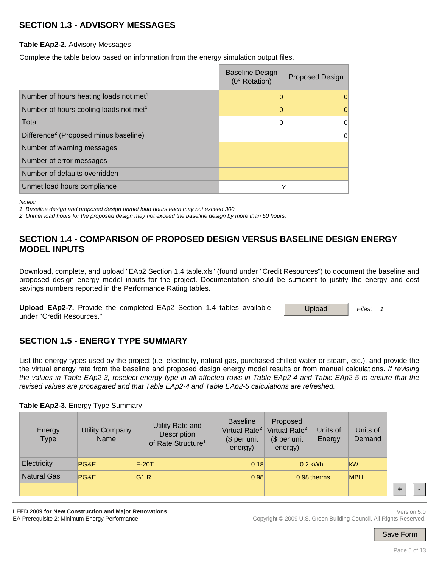## **SECTION 1.3 - ADVISORY MESSAGES**

**Table EAp2-2.** Advisory Messages

Complete the table below based on information from the energy simulation output files.

|                                                    | <b>Baseline Design</b><br>(0° Rotation) | <b>Proposed Design</b> |
|----------------------------------------------------|-----------------------------------------|------------------------|
| Number of hours heating loads not met <sup>1</sup> |                                         |                        |
| Number of hours cooling loads not met <sup>1</sup> |                                         |                        |
| Total                                              |                                         |                        |
| Difference <sup>2</sup> (Proposed minus baseline)  |                                         |                        |
| Number of warning messages                         |                                         |                        |
| Number of error messages                           |                                         |                        |
| Number of defaults overridden                      |                                         |                        |
| Unmet load hours compliance                        | v                                       |                        |

*Notes:* 

*1 Baseline design and proposed design unmet load hours each may not exceed 300* 

*2 Unmet load hours for the proposed design may not exceed the baseline design by more than 50 hours.*

### **SECTION 1.4 - COMPARISON OF PROPOSED DESIGN VERSUS BASELINE DESIGN ENERGY MODEL INPUTS**

Download, complete, and upload "EAp2 Section 1.4 table.xls" (found under "Credit Resources") to document the baseline and proposed design energy model inputs for the project. Documentation should be sufficient to justify the energy and cost savings numbers reported in the Performance Rating tables.

**Upload EAp2-7.** Provide the completed EAp2 Section 1.4 tables available under "Credit Resources."

Upload *Files: 1*

## **SECTION 1.5 - ENERGY TYPE SUMMARY**

List the energy types used by the project (i.e. electricity, natural gas, purchased chilled water or steam, etc.), and provide the the virtual energy rate from the baseline and proposed design energy model results or from manual calculations. *If revising the values in Table EAp2-3, reselect energy type in all affected rows in Table EAp2-4 and Table EAp2-5 to ensure that the revised values are propagated and that Table EAp2-4 and Table EAp2-5 calculations are refreshed.*

#### **Table EAp2-3.** Energy Type Summary

| Energy<br>Type     | <b>Utility Company</b><br><b>Name</b> | Utility Rate and<br>Description<br>of Rate Structure <sup>1</sup> | <b>Baseline</b><br>Virtual Rate <sup>2</sup><br>$$$ per unit<br>energy) | Proposed<br>Virtual Rate <sup>2</sup><br>(\$ per unit<br>energy) | Units of<br>Energy | Units of<br>Demand |  |
|--------------------|---------------------------------------|-------------------------------------------------------------------|-------------------------------------------------------------------------|------------------------------------------------------------------|--------------------|--------------------|--|
| Electricity        | PG&E                                  | $E-20T$                                                           | 0.18                                                                    |                                                                  | $0.2$ kWh          | kW                 |  |
| <b>Natural Gas</b> | PG&E                                  | G <sub>1</sub> R                                                  | 0.98                                                                    |                                                                  | $0.98$ therms      | <b>MBH</b>         |  |
|                    |                                       |                                                                   |                                                                         |                                                                  |                    |                    |  |

**LEED 2009 for New Construction and Major Renovations**  EA Prerequisite 2: Minimum Energy Performance

Version 5.0 Copyright © 2009 U.S. Green Building Council. All Rights Reserved.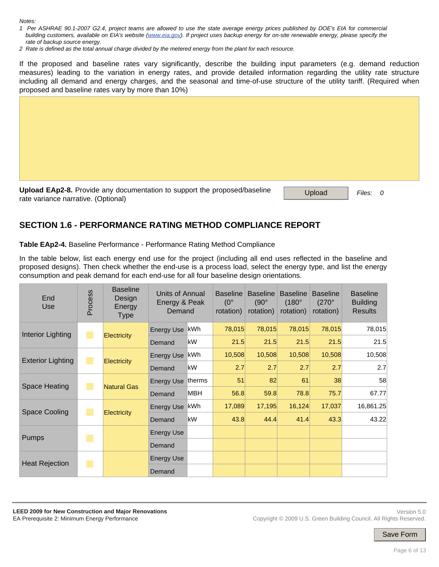*Notes:* 

- *1 Per ASHRAE 90.1-2007 G2.4, project teams are allowed to use the state average energy prices published by DOE's EIA for commercial building customers, available on EIA's website (www.eia.gov). If project uses backup energy for on-site renewable energy, please specify the rate of backup source energy.*
- *2 Rate is defined as the total annual charge divided by the metered energy from the plant for each resource.*

If the proposed and baseline rates vary significantly, describe the building input parameters (e.g. demand reduction measures) leading to the variation in energy rates, and provide detailed information regarding the utility rate structure including all demand and energy charges, and the seasonal and time-of-use structure of the utility tariff. (Required when proposed and baseline rates vary by more than 10%)

Upload EAp2-8. Provide any documentation to support the proposed/baseline Upload *Files: 0*<br>rate variance narrative. (Optional)

## **SECTION 1.6 - PERFORMANCE RATING METHOD COMPLIANCE REPORT**

**Table EAp2-4.** Baseline Performance - Performance Rating Method Compliance

In the table below, list each energy end use for the project (including all end uses reflected in the baseline and proposed designs). Then check whether the end-use is a process load, select the energy type, and list the energy consumption and peak demand for each end-use for all four baseline design orientations.

| End<br><b>Use</b>        | Process                | <b>Baseline</b><br>Design<br>Energy<br><b>Type</b> | Units of Annual<br>Energy & Peak<br>Demand |            | <b>Baseline</b><br>$(0^{\circ}$<br>rotation) | <b>Baseline</b><br>$(90^\circ$<br>rotation) | <b>Baseline</b><br>$(180^\circ$<br>rotation) | <b>Baseline</b><br>$(270^\circ$<br>rotation) | <b>Baseline</b><br><b>Building</b><br><b>Results</b> |
|--------------------------|------------------------|----------------------------------------------------|--------------------------------------------|------------|----------------------------------------------|---------------------------------------------|----------------------------------------------|----------------------------------------------|------------------------------------------------------|
| Interior Lighting        | <b>Service Service</b> |                                                    | Energy Use KWh                             |            | 78,015                                       | 78,015                                      | 78,015                                       | 78,015                                       | 78,015                                               |
|                          |                        | <b>Electricity</b>                                 | Demand                                     | kW         | 21.5                                         | 21.5                                        | 21.5                                         | 21.5                                         | 21.5                                                 |
| <b>Exterior Lighting</b> |                        |                                                    | <b>Energy Use</b>                          | kWh        | 10,508                                       | 10,508                                      | 10,508                                       | 10,508                                       | 10,508                                               |
|                          | <b>Electricity</b>     |                                                    | Demand                                     | kW         | 2.7                                          | 2.7                                         | 2.7                                          | 2.7                                          | 2.7                                                  |
| Space Heating            |                        | <b>Natural Gas</b>                                 | Energy Use therms                          |            | 51                                           | 82                                          | 61                                           | 38                                           | 58                                                   |
|                          |                        |                                                    | Demand                                     | <b>MBH</b> | 56.8                                         | 59.8                                        | 78.8                                         | 75.7                                         | 67.77                                                |
| Space Cooling            |                        |                                                    | Energy Use   kWh                           |            | 17,089                                       | 17,195                                      | 16,124                                       | 17,037                                       | 16,861.25                                            |
|                          |                        | <b>Electricity</b>                                 | Demand                                     | kW         | 43.8                                         | 44.4                                        | 41.4                                         | 43.3                                         | 43.22                                                |
| Pumps                    | p.                     |                                                    | <b>Energy Use</b>                          |            |                                              |                                             |                                              |                                              |                                                      |
|                          |                        |                                                    | Demand                                     |            |                                              |                                             |                                              |                                              |                                                      |
|                          | k.                     |                                                    | <b>Energy Use</b>                          |            |                                              |                                             |                                              |                                              |                                                      |
| <b>Heat Rejection</b>    |                        |                                                    | Demand                                     |            |                                              |                                             |                                              |                                              |                                                      |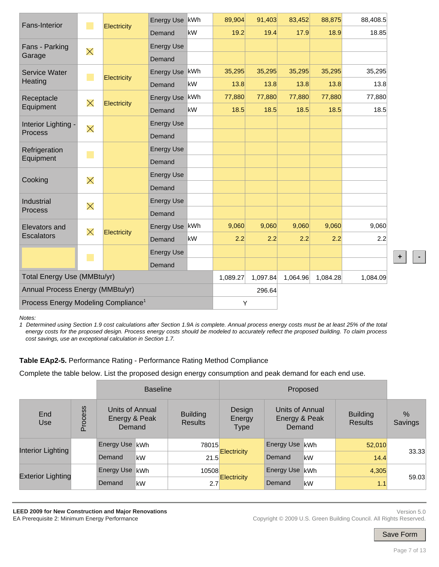| <b>Fans-Interior</b>                            |          |             | Energy Use kWh    |        | 89,904   | 91,403   | 83,452   | 88,875   | 88,408.5 |
|-------------------------------------------------|----------|-------------|-------------------|--------|----------|----------|----------|----------|----------|
|                                                 |          | Electricity | Demand            | kW     | 19.2     | 19.4     | 17.9     | 18.9     | 18.85    |
| Fans - Parking                                  | $\times$ |             | <b>Energy Use</b> |        |          |          |          |          |          |
| Garage                                          |          |             | Demand            |        |          |          |          |          |          |
| <b>Service Water</b>                            | ×,       | Electricity | Energy Use kWh    |        | 35,295   | 35,295   | 35,295   | 35,295   | 35,295   |
| Heating                                         |          |             | Demand            | kW     | 13.8     | 13.8     | 13.8     | 13.8     | 13.8     |
| Receptacle                                      | $\times$ | Electricity | Energy Use kWh    |        | 77,880   | 77,880   | 77,880   | 77,880   | 77,880   |
| Equipment                                       |          |             | Demand            | kW     | 18.5     | 18.5     | 18.5     | 18.5     | 18.5     |
| Interior Lighting -                             | $\times$ |             | <b>Energy Use</b> |        |          |          |          |          |          |
| <b>Process</b>                                  |          |             | Demand            |        |          |          |          |          |          |
| Refrigeration                                   |          |             | <b>Energy Use</b> |        |          |          |          |          |          |
| Equipment                                       |          |             | Demand            |        |          |          |          |          |          |
| Cooking                                         | $\times$ |             | <b>Energy Use</b> |        |          |          |          |          |          |
|                                                 |          |             | Demand            |        |          |          |          |          |          |
| Industrial                                      | $\times$ |             | <b>Energy Use</b> |        |          |          |          |          |          |
| Process                                         |          |             | Demand            |        |          |          |          |          |          |
| <b>Elevators and</b>                            | $\times$ | Electricity | Energy Use kWh    |        | 9,060    | 9,060    | 9,060    | 9,060    | 9,060    |
| <b>Escalators</b>                               |          |             | Demand            | kW     | 2.2      | 2.2      | 2.2      | 2.2      | 2.2      |
|                                                 |          |             | <b>Energy Use</b> |        |          |          |          |          |          |
|                                                 |          |             | Demand            |        |          |          |          |          |          |
| Total Energy Use (MMBtu/yr)                     |          |             |                   |        | 1,089.27 | 1,097.84 | 1,064.96 | 1,084.28 | 1,084.09 |
| Annual Process Energy (MMBtu/yr)                |          |             |                   | 296.64 |          |          |          |          |          |
| Process Energy Modeling Compliance <sup>1</sup> |          |             | Υ                 |        |          |          |          |          |          |

*Notes:* 

*1 Determined using Section 1.9 cost calculations after Section 1.9A is complete. Annual process energy costs must be at least 25% of the total energy costs for the proposed design. Process energy costs should be modeled to accurately reflect the proposed building. To claim process cost savings, use an exceptional calculation in Section 1.7.*

#### **Table EAp2-5.** Performance Rating - Performance Rating Method Compliance

Complete the table below. List the proposed design energy consumption and peak demand for each end use.

|                          | <b>Baseline</b> |                                            |    |                                   |                                                                               |                   |                                   |              |       |
|--------------------------|-----------------|--------------------------------------------|----|-----------------------------------|-------------------------------------------------------------------------------|-------------------|-----------------------------------|--------------|-------|
| End<br><b>Use</b>        | Process         | Units of Annual<br>Energy & Peak<br>Demand |    | <b>Building</b><br><b>Results</b> | Design<br>Units of Annual<br>Energy & Peak<br>Energy<br><b>Type</b><br>Demand |                   | <b>Building</b><br><b>Results</b> | %<br>Savings |       |
| Interior Lighting        |                 | Energy Use kWh                             |    | 78015                             |                                                                               | Energy Use kWh    |                                   | 52,010       |       |
|                          |                 | Demand                                     | kW |                                   | <b>Electricity</b><br>21.5                                                    | Demand            | kW                                | 14.4         | 33.33 |
| <b>Exterior Lighting</b> |                 | Energy Use   kWh                           |    | 10508                             |                                                                               | <b>Energy Use</b> | <b>kWh</b>                        | 4,305        | 59.03 |
|                          |                 | Demand                                     | kW | 2.7                               | <b>Electricity</b>                                                            | Demand            | kW                                | 1.1          |       |

**LEED 2009 for New Construction and Major Renovations**  EA Prerequisite 2: Minimum Energy Performance

Version 5.0 Copyright © 2009 U.S. Green Building Council. All Rights Reserved.

**+ -**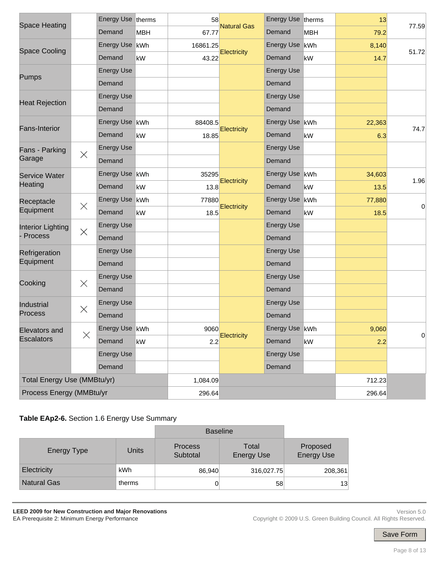|                             |                             | Energy Use therms |            | 58       |                    | Energy Use therms |     | 13     |                |
|-----------------------------|-----------------------------|-------------------|------------|----------|--------------------|-------------------|-----|--------|----------------|
| <b>Space Heating</b>        |                             | Demand            | <b>MBH</b> | 67.77    | <b>Natural Gas</b> | Demand            | MBH | 79.2   | 77.59          |
|                             |                             | <b>Energy Use</b> | kWh        | 16861.25 |                    | Energy Use        | kWh | 8,140  |                |
| <b>Space Cooling</b>        |                             | Demand            | kW         | 43.22    | Electricity        | Demand            | kW  | 14.7   | 51.72          |
|                             |                             | <b>Energy Use</b> |            |          |                    | <b>Energy Use</b> |     |        |                |
| <b>Pumps</b>                |                             | Demand            |            |          |                    | Demand            |     |        |                |
|                             |                             | <b>Energy Use</b> |            |          |                    | <b>Energy Use</b> |     |        |                |
| <b>Heat Rejection</b>       |                             | Demand            |            |          |                    | Demand            |     |        |                |
| <b>Fans-Interior</b>        | Energy Use   kWh<br>88408.5 |                   | Energy Use | kWh      | 22,363             |                   |     |        |                |
|                             |                             | Demand            | kW         | 18.85    | Electricity        | Demand            | kW  | 6.3    | 74.7           |
| Fans - Parking              | $\times$                    | <b>Energy Use</b> |            |          |                    | <b>Energy Use</b> |     |        |                |
| Garage                      |                             | Demand            |            |          |                    | Demand            |     |        |                |
| <b>Service Water</b>        |                             | Energy Use   kWh  |            | 35295    | Electricity        | Energy Use        | kWh | 34,603 | 1.96           |
| Heating                     |                             | Demand            | kW         | 13.8     |                    | Demand            | kW  | 13.5   |                |
| Receptacle                  |                             | Energy Use   kWh  |            | 77880    | Electricity        | Energy Use        | kWh | 77,880 |                |
| Equipment                   | $\times$                    | Demand            | kW         | 18.5     |                    | Demand            | kW  | 18.5   | $\overline{0}$ |
| Interior Lighting           | $\times$                    | <b>Energy Use</b> |            |          |                    | <b>Energy Use</b> |     |        |                |
| Process                     |                             | Demand            |            |          |                    | Demand            |     |        |                |
| Refrigeration               |                             | <b>Energy Use</b> |            |          |                    | <b>Energy Use</b> |     |        |                |
| Equipment                   |                             | Demand            |            |          |                    | Demand            |     |        |                |
|                             | $\times$                    | <b>Energy Use</b> |            |          |                    | <b>Energy Use</b> |     |        |                |
| Cooking                     |                             | Demand            |            |          |                    | Demand            |     |        |                |
| Industrial                  | $\times$                    | <b>Energy Use</b> |            |          |                    | <b>Energy Use</b> |     |        |                |
| <b>Process</b>              |                             | Demand            |            |          |                    | Demand            |     |        |                |
| Elevators and               |                             | Energy Use kWh    |            | 9060     |                    | Energy Use kWh    |     | 9,060  |                |
| <b>Escalators</b>           | $\times$                    | Demand            | kW         | 2.2      | Electricity        | Demand            | kW  | 2.2    | U              |
|                             |                             | <b>Energy Use</b> |            |          |                    | <b>Energy Use</b> |     |        |                |
|                             |                             | Demand            |            |          |                    | Demand            |     |        |                |
| Total Energy Use (MMBtu/yr) |                             |                   |            | 1,084.09 |                    |                   |     | 712.23 |                |
| Process Energy (MMBtu/yr    |                             |                   |            | 296.64   |                    |                   |     | 296.64 |                |

### **Table EAp2-6.** Section 1.6 Energy Use Summary

|                    |              | <b>Baseline</b>            |                            |                               |
|--------------------|--------------|----------------------------|----------------------------|-------------------------------|
| <b>Energy Type</b> | <b>Units</b> | <b>Process</b><br>Subtotal | Total<br><b>Energy Use</b> | Proposed<br><b>Energy Use</b> |
| Electricity        | <b>kWh</b>   | 86,940                     | 316,027.75                 | 208,361                       |
| <b>Natural Gas</b> | therms       | 0                          | 58                         | 13                            |

**LEED 2009 for New Construction and Major Renovations**  EA Prerequisite 2: Minimum Energy Performance

Version 5.0 Copyright © 2009 U.S. Green Building Council. All Rights Reserved.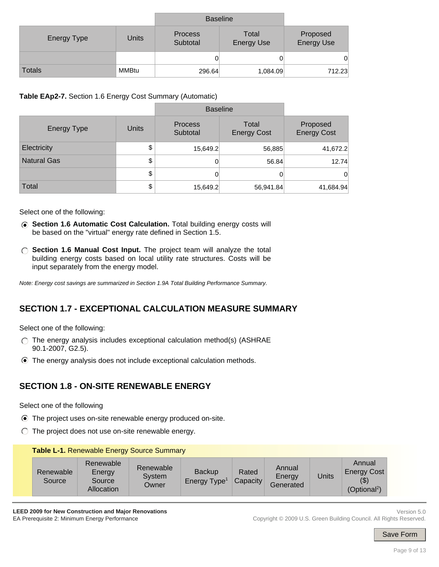|               |       | <b>Baseline</b>            |                            |                               |
|---------------|-------|----------------------------|----------------------------|-------------------------------|
| Energy Type   | Units | <b>Process</b><br>Subtotal | Total<br><b>Energy Use</b> | Proposed<br><b>Energy Use</b> |
|               |       |                            |                            | 0                             |
| <b>Totals</b> | MMBtu | 296.64                     | 1,084.09                   | 712.23                        |

**Table EAp2-7.** Section 1.6 Energy Cost Summary (Automatic)

|                    |              | <b>Baseline</b>            |                             |                                |
|--------------------|--------------|----------------------------|-----------------------------|--------------------------------|
| <b>Energy Type</b> | <b>Units</b> | <b>Process</b><br>Subtotal | Total<br><b>Energy Cost</b> | Proposed<br><b>Energy Cost</b> |
| Electricity        | \$           | 15,649.2                   | 56,885                      | 41,672.2                       |
| <b>Natural Gas</b> | \$           | 0                          | 56.84                       | 12.74                          |
|                    | \$           | 0                          | 0                           | $\overline{0}$                 |
| Total              | \$           | 15,649.2                   | 56,941.84                   | 41,684.94                      |

Select one of the following:

- **Section 1.6 Automatic Cost Calculation.** Total building energy costs will be based on the "virtual" energy rate defined in Section 1.5.
- **Section 1.6 Manual Cost Input.** The project team will analyze the total building energy costs based on local utility rate structures. Costs will be input separately from the energy model.

*Note: Energy cost savings are summarized in Section 1.9A Total Building Performance Summary.*

## **SECTION 1.7 - EXCEPTIONAL CALCULATION MEASURE SUMMARY**

Select one of the following:

- $\bigcap$  The energy analysis includes exceptional calculation method(s) (ASHRAE 90.1-2007, G2.5).
- The energy analysis does not include exceptional calculation methods.

## **SECTION 1.8 - ON-SITE RENEWABLE ENERGY**

Select one of the following

- The project uses on-site renewable energy produced on-site.
- $\bigcirc$  The project does not use on-site renewable energy.

#### **Table L-1.** Renewable Energy Source Summary

| (Optional <sup>2</sup> )<br>Allocation |  | Renewable<br>Source | Renewable<br>Energy<br>Source | Renewable<br>System<br>Owner | <b>Backup</b><br>Energy Type <sup>1</sup> | Rated<br>Capacity | Annual<br>Energy<br>Generated | Units | Annual<br><b>Energy Cost</b><br>\$) |
|----------------------------------------|--|---------------------|-------------------------------|------------------------------|-------------------------------------------|-------------------|-------------------------------|-------|-------------------------------------|
|----------------------------------------|--|---------------------|-------------------------------|------------------------------|-------------------------------------------|-------------------|-------------------------------|-------|-------------------------------------|

**LEED 2009 for New Construction and Major Renovations**  EA Prerequisite 2: Minimum Energy Performance

Version 5.0 Copyright © 2009 U.S. Green Building Council. All Rights Reserved.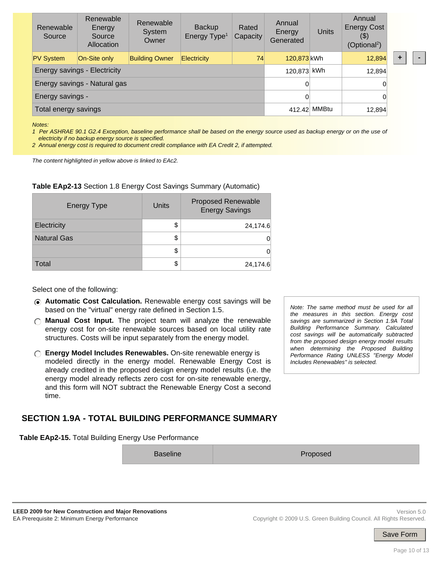| Renewable<br>Source          | Renewable<br>Energy<br>Source<br>Allocation | Renewable<br>System<br>Owner | <b>Backup</b><br>Energy Type <sup>1</sup> | Rated<br>Capacity | Annual<br>Energy<br>Generated | Units        | Annual<br><b>Energy Cost</b><br>$($ \$)<br>(Optional <sup>2</sup> ) |  |  |
|------------------------------|---------------------------------------------|------------------------------|-------------------------------------------|-------------------|-------------------------------|--------------|---------------------------------------------------------------------|--|--|
| <b>PV System</b>             | On-Site only                                | <b>Building Owner</b>        | <b>Electricity</b>                        | 74                | 120,873 kWh                   |              | 12,894                                                              |  |  |
| Energy savings - Electricity | 120,873 kWh                                 |                              | 12,894                                    |                   |                               |              |                                                                     |  |  |
| Energy savings - Natural gas |                                             |                              |                                           |                   | 0                             |              | 0                                                                   |  |  |
| Energy savings -             |                                             |                              | 0                                         |                   |                               |              |                                                                     |  |  |
| Total energy savings         |                                             |                              |                                           |                   |                               | 412.42 MMBtu | 12,894                                                              |  |  |

*Notes:* 

*1 Per ASHRAE 90.1 G2.4 Exception, baseline performance shall be based on the energy source used as backup energy or on the use of electricity if no backup energy source is specified.* 

*2 Annual energy cost is required to document credit compliance with EA Credit 2, if attempted.*

*The content highlighted in yellow above is linked to EAc2.*

#### **Table EAp2-13** Section 1.8 Energy Cost Savings Summary (Automatic)

| <b>Energy Type</b> | Units | <b>Proposed Renewable</b><br><b>Energy Savings</b> |
|--------------------|-------|----------------------------------------------------|
| Electricity        | \$    | 24,174.6                                           |
| <b>Natural Gas</b> | \$    |                                                    |
|                    | \$    |                                                    |
| Total              |       | 24,174.6                                           |

#### Select one of the following:

- **Automatic Cost Calculation.** Renewable energy cost savings will be based on the "virtual" energy rate defined in Section 1.5.
- **Manual Cost Input.** The project team will analyze the renewable energy cost for on-site renewable sources based on local utility rate structures. Costs will be input separately from the energy model.
- **Energy Model Includes Renewables.** On-site renewable energy is modeled directly in the energy model. Renewable Energy Cost is already credited in the proposed design energy model results (i.e. the energy model already reflects zero cost for on-site renewable energy, and this form will NOT subtract the Renewable Energy Cost a second time.

*the measures in this section. Energy cost savings are summarized in Section 1.9A Total Building Performance Summary. Calculated cost savings will be automatically subtracted from the proposed design energy model results when determining the Proposed Building Performance Rating UNLESS "Energy Model Includes Renewables" is selected.*

*Note: The same method must be used for all* 

### **SECTION 1.9A - TOTAL BUILDING PERFORMANCE SUMMARY**

**Table EAp2-15.** Total Building Energy Use Performance

Baseline **Proposed**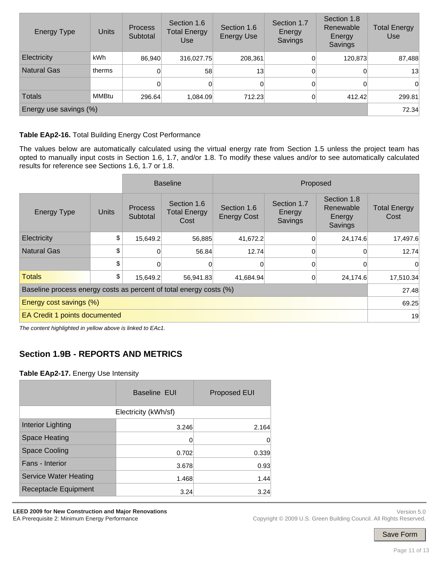| <b>Energy Type</b> | Units                  | <b>Process</b><br>Subtotal | Section 1.6<br><b>Total Energy</b><br>Use | Section 1.8<br>Section 1.7<br>Section 1.6<br>Renewable<br>Energy<br><b>Energy Use</b><br>Energy<br>Savings<br>Savings |          |         | <b>Total Energy</b><br>Use |  |  |  |  |
|--------------------|------------------------|----------------------------|-------------------------------------------|-----------------------------------------------------------------------------------------------------------------------|----------|---------|----------------------------|--|--|--|--|
| Electricity        | kWh                    | 86,940                     | 316,027.75                                | 208,361                                                                                                               | $\Omega$ | 120,873 | 87,488                     |  |  |  |  |
| <b>Natural Gas</b> | therms                 | 0                          | 58                                        | 13                                                                                                                    | $\Omega$ | 0       | 13                         |  |  |  |  |
|                    |                        | 0                          | $\vert$                                   |                                                                                                                       | $\Omega$ | 0       | $\Omega$                   |  |  |  |  |
| <b>Totals</b>      | MMBtu                  | 296.64                     | 1,084.09                                  | 712.23                                                                                                                |          | 412.42  | 299.81                     |  |  |  |  |
|                    | Energy use savings (%) |                            |                                           |                                                                                                                       |          |         |                            |  |  |  |  |

#### **Table EAp2-16.** Total Building Energy Cost Performance

The values below are automatically calculated using the virtual energy rate from Section 1.5 unless the project team has opted to manually input costs in Section 1.6, 1.7, and/or 1.8. To modify these values and/or to see automatically calculated results for reference see Sections 1.6, 1.7 or 1.8.

|                                                                    | <b>Baseline</b><br>Proposed |                            |                                            |                                   |                                  |                                               |                             |  |  |
|--------------------------------------------------------------------|-----------------------------|----------------------------|--------------------------------------------|-----------------------------------|----------------------------------|-----------------------------------------------|-----------------------------|--|--|
| <b>Energy Type</b>                                                 | <b>Units</b>                | <b>Process</b><br>Subtotal | Section 1.6<br><b>Total Energy</b><br>Cost | Section 1.6<br><b>Energy Cost</b> | Section 1.7<br>Energy<br>Savings | Section 1.8<br>Renewable<br>Energy<br>Savings | <b>Total Energy</b><br>Cost |  |  |
| Electricity                                                        | \$                          | 15,649.2                   | 56,885                                     | 41,672.2                          | $\Omega$                         | 24,174.6                                      | 17,497.6                    |  |  |
| <b>Natural Gas</b>                                                 | \$                          | $\Omega$                   | 56.84                                      | 12.74                             | 0                                | 0                                             | 12.74                       |  |  |
|                                                                    | \$                          | 0                          |                                            |                                   | $\Omega$                         | 0                                             | $\Omega$                    |  |  |
| <b>Totals</b>                                                      | \$                          | 15,649.2                   | 56,941.83                                  | 41,684.94                         | $\Omega$                         | 24,174.6                                      | 17,510.34                   |  |  |
| Baseline process energy costs as percent of total energy costs (%) |                             |                            |                                            |                                   |                                  |                                               |                             |  |  |
| Energy cost savings (%)                                            |                             |                            |                                            |                                   |                                  |                                               |                             |  |  |
| EA Credit 1 points documented                                      |                             |                            |                                            |                                   |                                  |                                               | 19                          |  |  |

*The content highlighted in yellow above is linked to EAc1.*

## **Section 1.9B - REPORTS AND METRICS**

#### **Table EAp2-17.** Energy Use Intensity

|                              | <b>Baseline EUI</b>  | <b>Proposed EUI</b> |  |  |
|------------------------------|----------------------|---------------------|--|--|
|                              | Electricity (kWh/sf) |                     |  |  |
| <b>Interior Lighting</b>     | 3.246                | 2.164               |  |  |
| Space Heating                | 0                    | 0                   |  |  |
| <b>Space Cooling</b>         | 0.702                | 0.339               |  |  |
| Fans - Interior              | 3.678                | 0.93                |  |  |
| <b>Service Water Heating</b> | 1.468                | 1.44                |  |  |
| Receptacle Equipment         | 3.24                 | 3.24                |  |  |

**LEED 2009 for New Construction and Major Renovations**  EA Prerequisite 2: Minimum Energy Performance

Version 5.0 Copyright © 2009 U.S. Green Building Council. All Rights Reserved.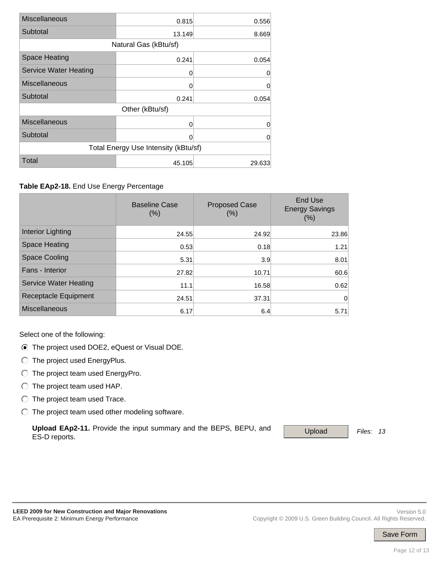| <b>Miscellaneous</b>                   | 0.815  | 0.556  |  |  |  |  |  |
|----------------------------------------|--------|--------|--|--|--|--|--|
| Subtotal                               | 13.149 | 8.669  |  |  |  |  |  |
| Natural Gas (kBtu/sf)                  |        |        |  |  |  |  |  |
| <b>Space Heating</b><br>0.241<br>0.054 |        |        |  |  |  |  |  |
| <b>Service Water Heating</b>           | 0      | 0      |  |  |  |  |  |
| <b>Miscellaneous</b>                   | 0      | 0      |  |  |  |  |  |
| Subtotal                               | 0.241  | 0.054  |  |  |  |  |  |
| Other (kBtu/sf)                        |        |        |  |  |  |  |  |
| <b>Miscellaneous</b>                   | 0      | 0      |  |  |  |  |  |
| Subtotal                               | 0      | 0      |  |  |  |  |  |
| Total Energy Use Intensity (kBtu/sf)   |        |        |  |  |  |  |  |
| <b>Total</b>                           | 45.105 | 29.633 |  |  |  |  |  |

#### **Table EAp2-18.** End Use Energy Percentage

|                              | <b>Baseline Case</b><br>(%) | <b>Proposed Case</b><br>(% ) | End Use<br><b>Energy Savings</b><br>(%) |
|------------------------------|-----------------------------|------------------------------|-----------------------------------------|
| Interior Lighting            | 24.55                       | 24.92                        | 23.86                                   |
| Space Heating                | 0.53                        | 0.18                         | 1.21                                    |
| <b>Space Cooling</b>         | 5.31                        | 3.9                          | 8.01                                    |
| Fans - Interior              | 27.82                       | 10.71                        | 60.6                                    |
| <b>Service Water Heating</b> | 11.1                        | 16.58                        | 0.62                                    |
| Receptacle Equipment         | 24.51                       | 37.31                        | 0                                       |
| <b>Miscellaneous</b>         | 6.17                        | 6.4                          | 5.71                                    |

Select one of the following:

- The project used DOE2, eQuest or Visual DOE.
- The project used EnergyPlus.
- $\bigcirc$  The project team used EnergyPro.
- $\bigcirc$  The project team used HAP.
- $\bigcirc$  The project team used Trace.
- $\bigcirc$  The project team used other modeling software.

Upload EAp2-11. Provide the input summary and the BEPS, BEPU, and Upload Files: 13 ES-D reports.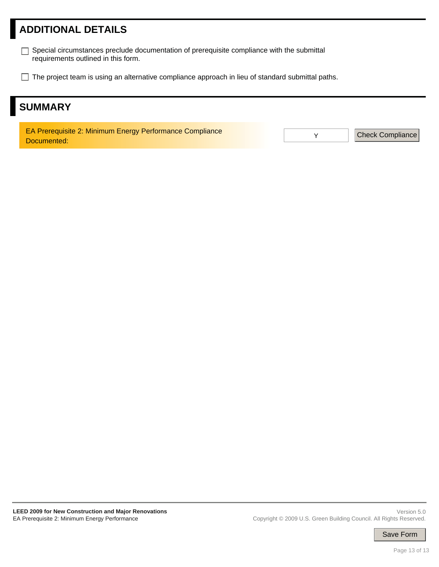# **ADDITIONAL DETAILS**

- Special circumstances preclude documentation of prerequisite compliance with the submittal requirements outlined in this form.
- $\Box$  The project team is using an alternative compliance approach in lieu of standard submittal paths.

# **SUMMARY**

EA Prerequisite 2: Minimum Energy Performance Compliance Documented:

Y Check Compliance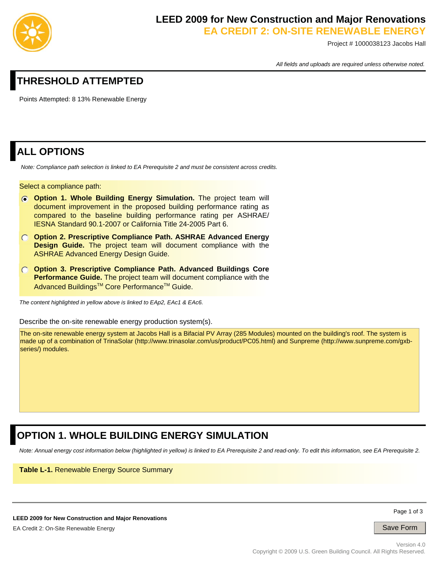

# **LEED 2009 for New Construction and Major Renovations**

**EA CREDIT 2: ON-SITE RENEWABLE ENERGY**

Project # 1000038123 Jacobs Hall

*All fields and uploads are required unless otherwise noted.*

## **THRESHOLD ATTEMPTED**

Points Attempted: 8 13% Renewable Energy

## **ALL OPTIONS**

 *Note: Compliance path selection is linked to EA Prerequisite 2 and must be consistent across credits.* 

#### Select a compliance path:

- *C* Option 1. Whole Building Energy Simulation. The project team will document improvement in the proposed building performance rating as compared to the baseline building performance rating per ASHRAE/ IESNA Standard 90.1-2007 or California Title 24-2005 Part 6.
- **Option 2. Prescriptive Compliance Path. ASHRAE Advanced Energy Design Guide.** The project team will document compliance with the ASHRAE Advanced Energy Design Guide.
- **Option 3. Prescriptive Compliance Path. Advanced Buildings Core Performance Guide.** The project team will document compliance with the Advanced Buildings™ Core Performance™ Guide.

*The content highlighted in yellow above is linked to EAp2, EAc1 & EAc6.*

Describe the on-site renewable energy production system(s).

The on-site renewable energy system at Jacobs Hall is a Bifacial PV Array (285 Modules) mounted on the building's roof. The system is made up of a combination of TrinaSolar (http://www.trinasolar.com/us/product/PC05.html) and Sunpreme (http://www.sunpreme.com/gxbseries/) modules.

## **OPTION 1. WHOLE BUILDING ENERGY SIMULATION**

*Note: Annual energy cost information below (highlighted in yellow) is linked to EA Prerequisite 2 and read-only. To edit this information, see EA Prerequisite 2.*

**Table L-1.** Renewable Energy Source Summary

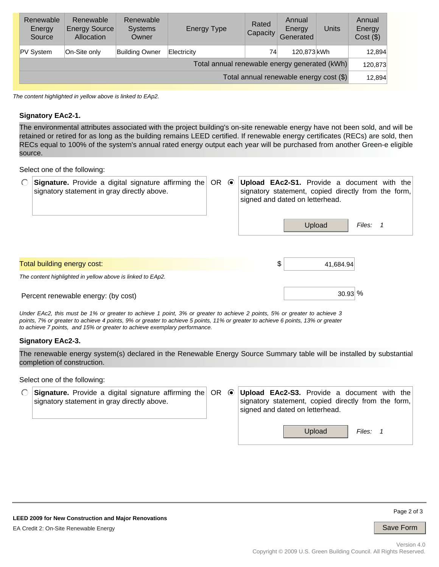| Renewable<br>Energy<br>Source                 | Renewable<br><b>Energy Source</b><br>Allocation | Renewable<br><b>Systems</b><br>Owner | <b>Energy Type</b> | Rated<br>Capacity | Annual<br>Energy<br>Generated | <b>Units</b> | Annual<br>Energy<br>$Cost($ \$) |
|-----------------------------------------------|-------------------------------------------------|--------------------------------------|--------------------|-------------------|-------------------------------|--------------|---------------------------------|
| <b>PV System</b>                              | On-Site only                                    | Building Owner                       | Electricity        | 74                | 120,873 kWh                   |              | 12,894                          |
| Total annual renewable energy generated (kWh) |                                                 |                                      |                    |                   |                               |              | 120,873                         |
| Total annual renewable energy cost (\$)       |                                                 |                                      |                    |                   |                               |              | 12,894                          |

*The content highlighted in yellow above is linked to EAp2.*

#### **Signatory EAc2-1.**

The environmental attributes associated with the project building's on-site renewable energy have not been sold, and will be retained or retired for as long as the building remains LEED certified. If renewable energy certificates (RECs) are sold, then RECs equal to 100% of the system's annual rated energy output each year will be purchased from another Green-e eligible source.

Select one of the following:

| <b>Signature.</b> Provide a digital signature affirming the OR<br>signatory statement in gray directly above. | $\odot$ | Upload EAc2-S1. Provide a document with the<br>signatory statement, copied directly from the form,<br>signed and dated on letterhead. |        |  |
|---------------------------------------------------------------------------------------------------------------|---------|---------------------------------------------------------------------------------------------------------------------------------------|--------|--|
|                                                                                                               |         | Upload                                                                                                                                | Files: |  |
| Total building energy cost:                                                                                   |         | \$<br>41,684.94                                                                                                                       |        |  |
| The content highlighted in yellow above is linked to EAp2.                                                    |         |                                                                                                                                       |        |  |
| Percent renewable energy: (by cost)                                                                           |         | $30.93\%$                                                                                                                             |        |  |

*Under EAc2, this must be 1% or greater to achieve 1 point, 3% or greater to achieve 2 points, 5% or greater to achieve 3 points, 7% or greater to achieve 4 points, 9% or greater to achieve 5 points, 11% or greater to achieve 6 points, 13% or greater to achieve 7 points, and 15% or greater to achieve exemplary performance.*

#### **Signatory EAc2-3.**

The renewable energy system(s) declared in the Renewable Energy Source Summary table will be installed by substantial completion of construction.

Select one of the following:

| signatory statement in gray directly above. |  | <b>Signature.</b> Provide a digital signature affirming the $\overline{OR}$ (Upload EAc2-S3. Provide a document with the<br>signatory statement, copied directly from the form,<br>signed and dated on letterhead. |
|---------------------------------------------|--|--------------------------------------------------------------------------------------------------------------------------------------------------------------------------------------------------------------------|
|                                             |  | Upload<br>Files:                                                                                                                                                                                                   |